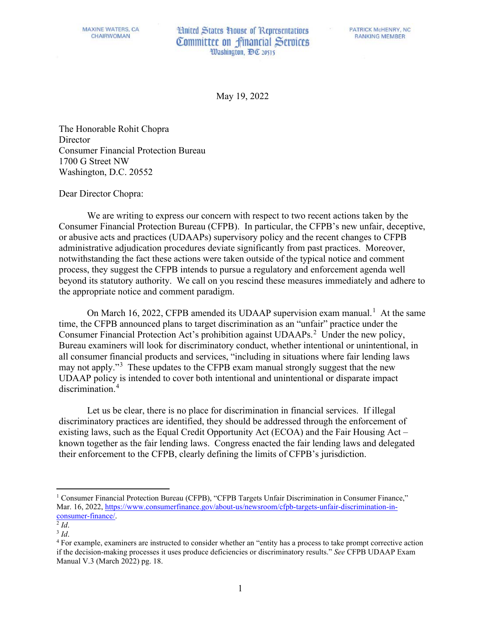**Hnited States House of Representatives** Committee on financial Services Washington, DC 20515

May 19, 2022

The Honorable Rohit Chopra Director Consumer Financial Protection Bureau 1700 G Street NW Washington, D.C. 20552

Dear Director Chopra:

We are writing to express our concern with respect to two recent actions taken by the Consumer Financial Protection Bureau (CFPB). In particular, the CFPB's new unfair, deceptive, or abusive acts and practices (UDAAPs) supervisory policy and the recent changes to CFPB administrative adjudication procedures deviate significantly from past practices. Moreover, notwithstanding the fact these actions were taken outside of the typical notice and comment process, they suggest the CFPB intends to pursue a regulatory and enforcement agenda well beyond its statutory authority. We call on you rescind these measures immediately and adhere to the appropriate notice and comment paradigm.

On March [1](#page-0-0)6, 2022, CFPB amended its UDAAP supervision exam manual.<sup>1</sup> At the same time, the CFPB announced plans to target discrimination as an "unfair" practice under the Consumer Financial Protection Act's prohibition against UDAAPs.<sup>[2](#page-0-1)</sup> Under the new policy, Bureau examiners will look for discriminatory conduct, whether intentional or unintentional, in all consumer financial products and services, "including in situations where fair lending laws may not apply."<sup>[3](#page-0-2)</sup> These updates to the CFPB exam manual strongly suggest that the new UDAAP policy is intended to cover both intentional and unintentional or disparate impact discrimination.<sup>[4](#page-0-3)</sup>

Let us be clear, there is no place for discrimination in financial services. If illegal discriminatory practices are identified, they should be addressed through the enforcement of existing laws, such as the Equal Credit Opportunity Act (ECOA) and the Fair Housing Act – known together as the fair lending laws. Congress enacted the fair lending laws and delegated their enforcement to the CFPB, clearly defining the limits of CFPB's jurisdiction.

<span id="page-0-0"></span><sup>&</sup>lt;sup>1</sup> Consumer Financial Protection Bureau (CFPB), "CFPB Targets Unfair Discrimination in Consumer Finance," Mar. 16, 2022[, https://www.consumerfinance.gov/about-us/newsroom/cfpb-targets-unfair-discrimination-in-](https://www.consumerfinance.gov/about-us/newsroom/cfpb-targets-unfair-discrimination-in-consumer-finance/)<sup>2</sup> *Id*.<br><sup>3</sup> *Id*.<br><sup>4</sup> For example, examiners are instructed to consider whether an "entity has a process to take prompt corrective action

<span id="page-0-1"></span>

<span id="page-0-2"></span>

<span id="page-0-3"></span>if the decision-making processes it uses produce deficiencies or discriminatory results." *See* CFPB UDAAP Exam Manual V.3 (March 2022) pg. 18.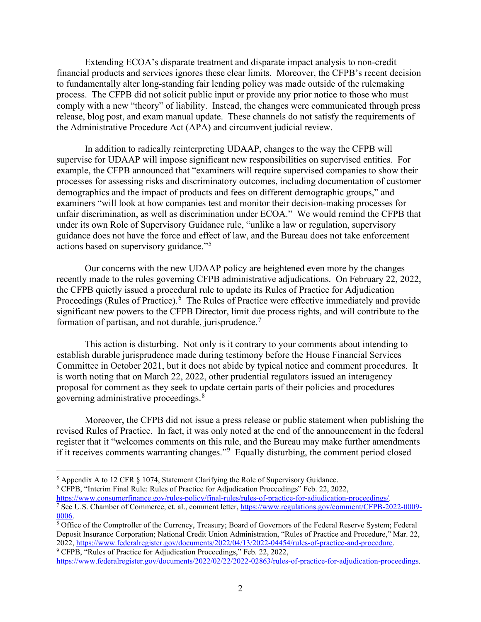Extending ECOA's disparate treatment and disparate impact analysis to non-credit financial products and services ignores these clear limits. Moreover, the CFPB's recent decision to fundamentally alter long-standing fair lending policy was made outside of the rulemaking process. The CFPB did not solicit public input or provide any prior notice to those who must comply with a new "theory" of liability. Instead, the changes were communicated through press release, blog post, and exam manual update. These channels do not satisfy the requirements of the Administrative Procedure Act (APA) and circumvent judicial review.

In addition to radically reinterpreting UDAAP, changes to the way the CFPB will supervise for UDAAP will impose significant new responsibilities on supervised entities. For example, the CFPB announced that "examiners will require supervised companies to show their processes for assessing risks and discriminatory outcomes, including documentation of customer demographics and the impact of products and fees on different demographic groups," and examiners "will look at how companies test and monitor their decision-making processes for unfair discrimination, as well as discrimination under ECOA." We would remind the CFPB that under its own Role of Supervisory Guidance rule, "unlike a law or regulation, supervisory guidance does not have the force and effect of law, and the Bureau does not take enforcement actions based on supervisory guidance."[5](#page-1-0)

Our concerns with the new UDAAP policy are heightened even more by the changes recently made to the rules governing CFPB administrative adjudications. On February 22, 2022, the CFPB quietly issued a procedural rule to update its Rules of Practice for Adjudication Proceedings (Rules of Practice).<sup>[6](#page-1-1)</sup> The Rules of Practice were effective immediately and provide significant new powers to the CFPB Director, limit due process rights, and will contribute to the formation of partisan, and not durable, jurisprudence.<sup>[7](#page-1-2)</sup>

This action is disturbing. Not only is it contrary to your comments about intending to establish durable jurisprudence made during testimony before the House Financial Services Committee in October 2021, but it does not abide by typical notice and comment procedures. It is worth noting that on March 22, 2022, other prudential regulators issued an interagency proposal for comment as they seek to update certain parts of their policies and procedures governing administrative proceedings.<sup>[8](#page-1-3)</sup>

Moreover, the CFPB did not issue a press release or public statement when publishing the revised Rules of Practice. In fact, it was only noted at the end of the announcement in the federal register that it "welcomes comments on this rule, and the Bureau may make further amendments if it receives comments warranting changes."<sup>[9](#page-1-4)</sup> Equally disturbing, the comment period closed

<span id="page-1-1"></span><sup>6</sup> CFPB, "Interim Final Rule: Rules of Practice for Adjudication Proceedings" Feb. 22, 2022,<br>https://www.consumerfinance.gov/rules-policy/final-rules/rules-of-practice-for-adjudication-proceedings/.

<span id="page-1-0"></span><sup>&</sup>lt;sup>5</sup> Appendix A to 12 CFR § 1074, Statement Clarifying the Role of Supervisory Guidance.

<span id="page-1-2"></span><sup>&</sup>lt;sup>7</sup> See U.S. Chamber of Commerce, et. al., comment letter, [https://www.regulations.gov/comment/CFPB-2022-0009-](https://www.regulations.gov/comment/CFPB-2022-0009-0006) [0006.](https://www.regulations.gov/comment/CFPB-2022-0009-0006)<br><sup>8</sup> Office of the Comptroller of the Currency, Treasury; Board of Governors of the Federal Reserve System; Federal

<span id="page-1-3"></span>Deposit Insurance Corporation; National Credit Union Administration, "Rules of Practice and Procedure," Mar. 22, 2022, [https://www.federalregister.gov/documents/2022/04/13/2022-04454/rules-of-practice-and-procedure.](https://www.federalregister.gov/documents/2022/04/13/2022-04454/rules-of-practice-and-procedure)<br><sup>9</sup> CFPB, "Rules of Practice for Adjudication Proceedings," Feb. 22, 2022,

<span id="page-1-4"></span>[https://www.federalregister.gov/documents/2022/02/22/2022-02863/rules-of-practice-for-adjudication-proceedings.](https://www.federalregister.gov/documents/2022/02/22/2022-02863/rules-of-practice-for-adjudication-proceedings)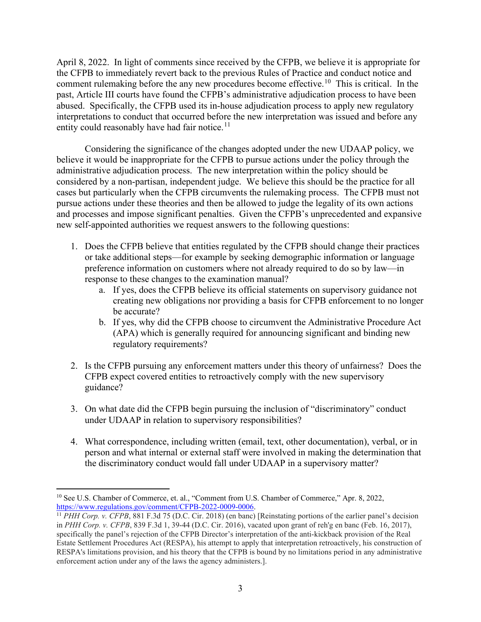April 8, 2022. In light of comments since received by the CFPB, we believe it is appropriate for the CFPB to immediately revert back to the previous Rules of Practice and conduct notice and comment rulemaking before the any new procedures become effective.<sup>[10](#page-2-0)</sup> This is critical. In the past, Article III courts have found the CFPB's administrative adjudication process to have been abused. Specifically, the CFPB used its in-house adjudication process to apply new regulatory interpretations to conduct that occurred before the new interpretation was issued and before any entity could reasonably have had fair notice. $11$ 

Considering the significance of the changes adopted under the new UDAAP policy, we believe it would be inappropriate for the CFPB to pursue actions under the policy through the administrative adjudication process. The new interpretation within the policy should be considered by a non-partisan, independent judge. We believe this should be the practice for all cases but particularly when the CFPB circumvents the rulemaking process. The CFPB must not pursue actions under these theories and then be allowed to judge the legality of its own actions and processes and impose significant penalties. Given the CFPB's unprecedented and expansive new self-appointed authorities we request answers to the following questions:

- 1. Does the CFPB believe that entities regulated by the CFPB should change their practices or take additional steps—for example by seeking demographic information or language preference information on customers where not already required to do so by law—in response to these changes to the examination manual?
	- a. If yes, does the CFPB believe its official statements on supervisory guidance not creating new obligations nor providing a basis for CFPB enforcement to no longer be accurate?
	- b. If yes, why did the CFPB choose to circumvent the Administrative Procedure Act (APA) which is generally required for announcing significant and binding new regulatory requirements?
- 2. Is the CFPB pursuing any enforcement matters under this theory of unfairness? Does the CFPB expect covered entities to retroactively comply with the new supervisory guidance?
- 3. On what date did the CFPB begin pursuing the inclusion of "discriminatory" conduct under UDAAP in relation to supervisory responsibilities?
- 4. What correspondence, including written (email, text, other documentation), verbal, or in person and what internal or external staff were involved in making the determination that the discriminatory conduct would fall under UDAAP in a supervisory matter?

<span id="page-2-0"></span><sup>&</sup>lt;sup>10</sup> See U.S. Chamber of Commerce, et. al., "Comment from U.S. Chamber of Commerce," Apr. 8, 2022, https://www.regulations.gov/comment/CFPB-2022-0009-0006.

<span id="page-2-1"></span> $\frac{11}{11}$  *PHH Corp. v. CFPB*, 881 F.3d 75 (D.C. Cir. 2018) (en banc) [Reinstating portions of the earlier panel's decision in *PHH Corp. v. CFPB*, 839 F.3d 1, 39-44 (D.C. Cir. 2016), vacated upon grant of reh'g en banc (Feb. 16, 2017), specifically the panel's rejection of the CFPB Director's interpretation of the anti-kickback provision of the Real Estate Settlement Procedures Act (RESPA), his attempt to apply that interpretation retroactively, his construction of RESPA's limitations provision, and his theory that the CFPB is bound by no limitations period in any administrative enforcement action under any of the laws the agency administers.].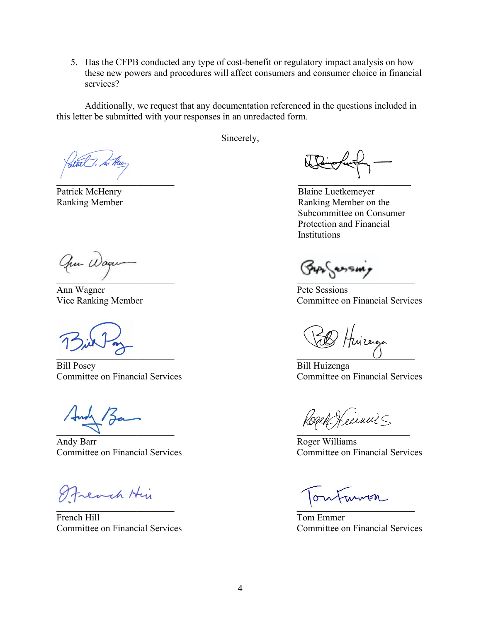5. Has the CFPB conducted any type of cost-benefit or regulatory impact analysis on how these new powers and procedures will affect consumers and consumer choice in financial services?

Additionally, we request that any documentation referenced in the questions included in this letter be submitted with your responses in an unredacted form.

Sincerely,

aturel 7. he Hen

Am Wager  $\overline{\phantom{a}}$ 

Ann Wagner Pete Sessions

Bill Posey<br>
Committee on Financial Services<br>
Committee on Financial Services<br>
Committee on Financial Services Committee on Financial Services

 $\blacksquare$ 

Andy Barr Roger Williams

Strench Hir

French Hill Tom Emmer

 $\mathcal{L}$  , and the contract of the contract of the contract of the contract of the contract of the contract of the contract of the contract of the contract of the contract of the contract of the contract of the contract o

Patrick McHenry Blaine Luetkemeyer Ranking Member **Ranking Member** Ranking Member on the Subcommittee on Consumer Protection and Financial **Institutions** 

Vice Ranking Member **Committee on Financial Services** 

El Huizega  $\overline{0}$  ,  $\overline{0}$  ,  $\overline{0}$  ,  $\overline{0}$  ,  $\overline{0}$  ,  $\overline{0}$  ,  $\overline{0}$  ,  $\overline{0}$  ,  $\overline{0}$ 

Rogen Keeinnis

Committee on Financial Services Committee on Financial Services

 $\mathcal{A}$  , we can consider the contract of the contract of the contract of the contract of the contract of the contract of the contract of the contract of the contract of the contract of the contract of the contract of th

Committee on Financial Services Committee on Financial Services